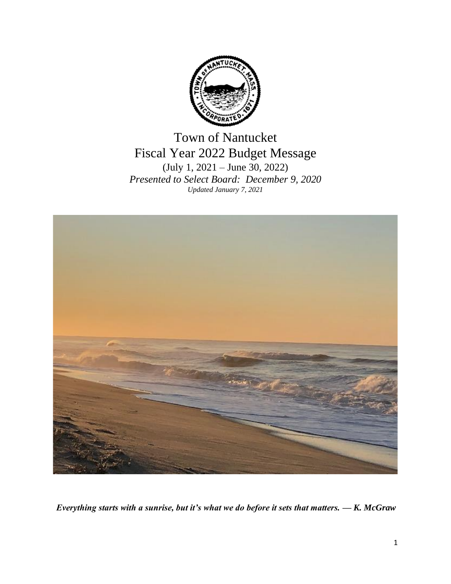

Town of Nantucket Fiscal Year 2022 Budget Message (July 1, 2021 – June 30, 2022) *Presented to Select Board: December 9, 2020 Updated January 7, 2021*



*Everything starts with a sunrise, but it's what we do before it sets that matters. — K. McGraw*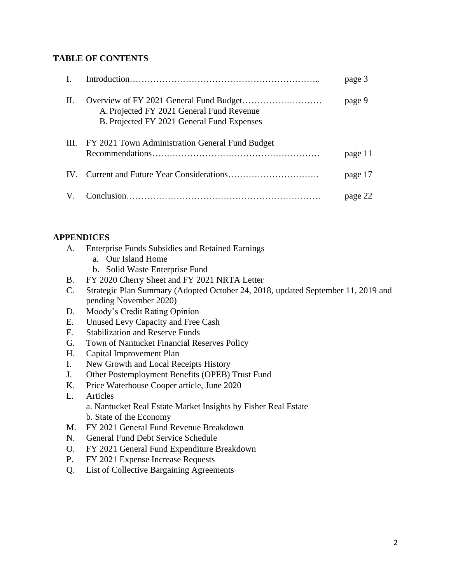## **TABLE OF CONTENTS**

|    |                                                                                         | page 3  |
|----|-----------------------------------------------------------------------------------------|---------|
| H. | A. Projected FY 2021 General Fund Revenue<br>B. Projected FY 2021 General Fund Expenses | page 9  |
|    | III. FY 2021 Town Administration General Fund Budget                                    | page 11 |
|    |                                                                                         | page 17 |
|    |                                                                                         | page 22 |

## **APPENDICES**

- A. Enterprise Funds Subsidies and Retained Earnings
	- a. Our Island Home
	- b. Solid Waste Enterprise Fund
- B. FY 2020 Cherry Sheet and FY 2021 NRTA Letter
- C. Strategic Plan Summary (Adopted October 24, 2018, updated September 11, 2019 and pending November 2020)
- D. Moody's Credit Rating Opinion
- E. Unused Levy Capacity and Free Cash
- F. Stabilization and Reserve Funds
- G. Town of Nantucket Financial Reserves Policy
- H. Capital Improvement Plan
- I. New Growth and Local Receipts History
- J. Other Postemployment Benefits (OPEB) Trust Fund
- K. Price Waterhouse Cooper article, June 2020
- L. Articles a. Nantucket Real Estate Market Insights by Fisher Real Estate b. State of the Economy
- M. FY 2021 General Fund Revenue Breakdown
- N. General Fund Debt Service Schedule
- O. FY 2021 General Fund Expenditure Breakdown
- P. FY 2021 Expense Increase Requests
- Q. List of Collective Bargaining Agreements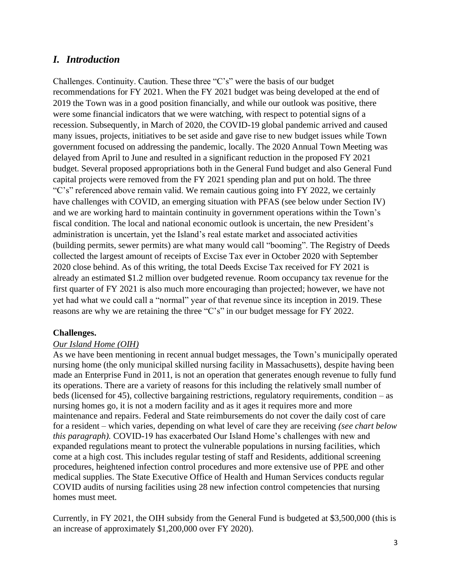# *I. Introduction*

Challenges. Continuity. Caution. These three "C's" were the basis of our budget recommendations for FY 2021. When the FY 2021 budget was being developed at the end of 2019 the Town was in a good position financially, and while our outlook was positive, there were some financial indicators that we were watching, with respect to potential signs of a recession. Subsequently, in March of 2020, the COVID-19 global pandemic arrived and caused many issues, projects, initiatives to be set aside and gave rise to new budget issues while Town government focused on addressing the pandemic, locally. The 2020 Annual Town Meeting was delayed from April to June and resulted in a significant reduction in the proposed FY 2021 budget. Several proposed appropriations both in the General Fund budget and also General Fund capital projects were removed from the FY 2021 spending plan and put on hold. The three "C's" referenced above remain valid. We remain cautious going into FY 2022, we certainly have challenges with COVID, an emerging situation with PFAS (see below under Section IV) and we are working hard to maintain continuity in government operations within the Town's fiscal condition. The local and national economic outlook is uncertain, the new President's administration is uncertain, yet the Island's real estate market and associated activities (building permits, sewer permits) are what many would call "booming". The Registry of Deeds collected the largest amount of receipts of Excise Tax ever in October 2020 with September 2020 close behind. As of this writing, the total Deeds Excise Tax received for FY 2021 is already an estimated \$1.2 million over budgeted revenue. Room occupancy tax revenue for the first quarter of FY 2021 is also much more encouraging than projected; however, we have not yet had what we could call a "normal" year of that revenue since its inception in 2019. These reasons are why we are retaining the three "C's" in our budget message for FY 2022.

## **Challenges.**

## *Our Island Home (OIH)*

As we have been mentioning in recent annual budget messages, the Town's municipally operated nursing home (the only municipal skilled nursing facility in Massachusetts), despite having been made an Enterprise Fund in 2011, is not an operation that generates enough revenue to fully fund its operations. There are a variety of reasons for this including the relatively small number of beds (licensed for 45), collective bargaining restrictions, regulatory requirements, condition – as nursing homes go, it is not a modern facility and as it ages it requires more and more maintenance and repairs. Federal and State reimbursements do not cover the daily cost of care for a resident – which varies, depending on what level of care they are receiving *(see chart below this paragraph).* COVID-19 has exacerbated Our Island Home's challenges with new and expanded regulations meant to protect the vulnerable populations in nursing facilities, which come at a high cost. This includes regular testing of staff and Residents, additional screening procedures, heightened infection control procedures and more extensive use of PPE and other medical supplies. The State Executive Office of Health and Human Services conducts regular COVID audits of nursing facilities using 28 new infection control competencies that nursing homes must meet.

Currently, in FY 2021, the OIH subsidy from the General Fund is budgeted at \$3,500,000 (this is an increase of approximately \$1,200,000 over FY 2020).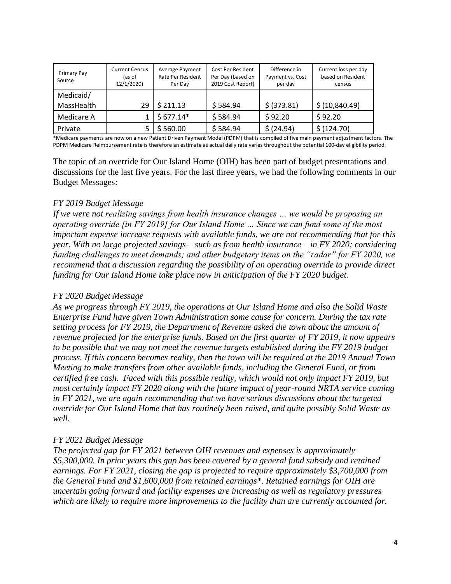| Primary Pay<br>Source   | <b>Current Census</b><br>(as of<br>12/1/2020) | Average Payment<br>Rate Per Resident<br>Per Dav | Cost Per Resident<br>Per Day (based on<br>2019 Cost Report) | Difference in<br>Payment vs. Cost<br>per day | Current loss per day<br>based on Resident<br>census |
|-------------------------|-----------------------------------------------|-------------------------------------------------|-------------------------------------------------------------|----------------------------------------------|-----------------------------------------------------|
| Medicaid/<br>MassHealth | 29                                            | \$211.13                                        | \$584.94                                                    | \$ (373.81)                                  | \$ (10,840.49)                                      |
| Medicare A              |                                               | $$677.14*$                                      | \$584.94                                                    | \$92.20                                      | \$92.20                                             |
| Private                 |                                               | \$560.00                                        | \$584.94                                                    | \$ (24.94)                                   | \$ (124.70)                                         |

\*Medicare payments are now on a new Patient Driven Payment Model (PDPM) that is compiled of five main payment adjustment factors. The PDPM Medicare Reimbursement rate is therefore an estimate as actual daily rate varies throughout the potential 100-day eligibility period.

The topic of an override for Our Island Home (OIH) has been part of budget presentations and discussions for the last five years. For the last three years, we had the following comments in our Budget Messages:

## *FY 2019 Budget Message*

*If we were not realizing savings from health insurance changes … we would be proposing an operating override [in FY 2019] for Our Island Home … Since we can fund some of the most important expense increase requests with available funds, we are not recommending that for this year. With no large projected savings – such as from health insurance – in FY 2020; considering funding challenges to meet demands; and other budgetary items on the "radar" for FY 2020, we recommend that a discussion regarding the possibility of an operating override to provide direct funding for Our Island Home take place now in anticipation of the FY 2020 budget.*

## *FY 2020 Budget Message*

*As we progress through FY 2019, the operations at Our Island Home and also the Solid Waste Enterprise Fund have given Town Administration some cause for concern. During the tax rate setting process for FY 2019, the Department of Revenue asked the town about the amount of revenue projected for the enterprise funds. Based on the first quarter of FY 2019, it now appears to be possible that we may not meet the revenue targets established during the FY 2019 budget process. If this concern becomes reality, then the town will be required at the 2019 Annual Town Meeting to make transfers from other available funds, including the General Fund, or from certified free cash. Faced with this possible reality, which would not only impact FY 2019, but most certainly impact FY 2020 along with the future impact of year-round NRTA service coming in FY 2021, we are again recommending that we have serious discussions about the targeted override for Our Island Home that has routinely been raised, and quite possibly Solid Waste as well.* 

## *FY 2021 Budget Message*

*The projected gap for FY 2021 between OIH revenues and expenses is approximately \$5,300,000. In prior years this gap has been covered by a general fund subsidy and retained earnings. For FY 2021, closing the gap is projected to require approximately \$3,700,000 from the General Fund and \$1,600,000 from retained earnings\*. Retained earnings for OIH are uncertain going forward and facility expenses are increasing as well as regulatory pressures which are likely to require more improvements to the facility than are currently accounted for.*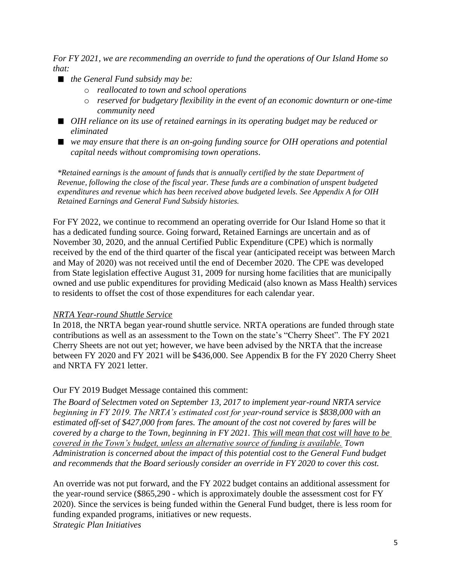*For FY 2021, we are recommending an override to fund the operations of Our Island Home so that:*

- *the General Fund subsidy may be:* 
	- o *reallocated to town and school operations*
	- o *reserved for budgetary flexibility in the event of an economic downturn or one-time community need*
- OIH reliance on its use of retained earnings in its operating budget may be reduced or *eliminated*
- we may ensure that there is an on-going funding source for OIH operations and potential *capital needs without compromising town operations.*

*\*Retained earnings is the amount of funds that is annually certified by the state Department of Revenue, following the close of the fiscal year. These funds are a combination of unspent budgeted expenditures and revenue which has been received above budgeted levels. See Appendix A for OIH Retained Earnings and General Fund Subsidy histories.*

For FY 2022, we continue to recommend an operating override for Our Island Home so that it has a dedicated funding source. Going forward, Retained Earnings are uncertain and as of November 30, 2020, and the annual Certified Public Expenditure (CPE) which is normally received by the end of the third quarter of the fiscal year (anticipated receipt was between March and May of 2020) was not received until the end of December 2020. The CPE was developed from State legislation effective August 31, 2009 for nursing home facilities that are municipally owned and use public expenditures for providing Medicaid (also known as Mass Health) services to residents to offset the cost of those expenditures for each calendar year.

## *NRTA Year-round Shuttle Service*

In 2018, the NRTA began year-round shuttle service. NRTA operations are funded through state contributions as well as an assessment to the Town on the state's "Cherry Sheet". The FY 2021 Cherry Sheets are not out yet; however, we have been advised by the NRTA that the increase between FY 2020 and FY 2021 will be \$436,000. See Appendix B for the FY 2020 Cherry Sheet and NRTA FY 2021 letter.

## Our FY 2019 Budget Message contained this comment:

*The Board of Selectmen voted on September 13, 2017 to implement year-round NRTA service beginning in FY 2019. The NRTA's estimated cost for year-round service is \$838,000 with an estimated off-set of \$427,000 from fares. The amount of the cost not covered by fares will be covered by a charge to the Town, beginning in FY 2021. This will mean that cost will have to be covered in the Town's budget, unless an alternative source of funding is available. Town Administration is concerned about the impact of this potential cost to the General Fund budget and recommends that the Board seriously consider an override in FY 2020 to cover this cost.*

An override was not put forward, and the FY 2022 budget contains an additional assessment for the year-round service (\$865,290 - which is approximately double the assessment cost for FY 2020). Since the services is being funded within the General Fund budget, there is less room for funding expanded programs, initiatives or new requests. *Strategic Plan Initiatives*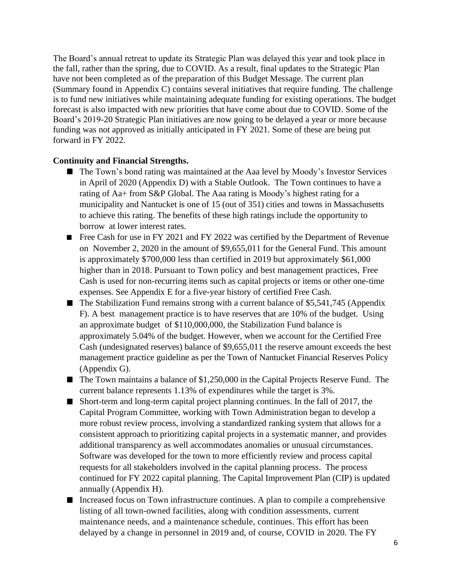The Board's annual retreat to update its Strategic Plan was delayed this year and took place in the fall, rather than the spring, due to COVID. As a result, final updates to the Strategic Plan have not been completed as of the preparation of this Budget Message. The current plan (Summary found in Appendix C) contains several initiatives that require funding. The challenge is to fund new initiatives while maintaining adequate funding for existing operations. The budget forecast is also impacted with new priorities that have come about due to COVID. Some of the Board's 2019-20 Strategic Plan initiatives are now going to be delayed a year or more because funding was not approved as initially anticipated in FY 2021. Some of these are being put forward in FY 2022.

#### **Continuity and Financial Strengths.**

- The Town's bond rating was maintained at the Aaa level by Moody's Investor Services in April of 2020 (Appendix D) with a Stable Outlook. The Town continues to have a rating of Aa+ from S&P Global. The Aaa rating is Moody's highest rating for a municipality and Nantucket is one of 15 (out of 351) cities and towns in Massachusetts to achieve this rating. The benefits of these high ratings include the opportunity to borrow at lower interest rates.
- Free Cash for use in FY 2021 and FY 2022 was certified by the Department of Revenue on November 2, 2020 in the amount of \$9,655,011 for the General Fund. This amount is approximately \$700,000 less than certified in 2019 but approximately \$61,000 higher than in 2018. Pursuant to Town policy and best management practices, Free Cash is used for non-recurring items such as capital projects or items or other one-time expenses. See Appendix E for a five-year history of certified Free Cash.
- $\blacksquare$  The Stabilization Fund remains strong with a current balance of \$5,541,745 (Appendix F). A best management practice is to have reserves that are 10% of the budget. Using an approximate budget of \$110,000,000, the Stabilization Fund balance is approximately 5.04% of the budget. However, when we account for the Certified Free Cash (undesignated reserves) balance of \$9,655,011 the reserve amount exceeds the best management practice guideline as per the Town of Nantucket Financial Reserves Policy (Appendix G).
- The Town maintains a balance of \$1,250,000 in the Capital Projects Reserve Fund. The current balance represents 1.13% of expenditures while the target is 3%.
- Short-term and long-term capital project planning continues. In the fall of 2017, the Capital Program Committee, working with Town Administration began to develop a more robust review process, involving a standardized ranking system that allows for a consistent approach to prioritizing capital projects in a systematic manner, and provides additional transparency as well accommodates anomalies or unusual circumstances. Software was developed for the town to more efficiently review and process capital requests for all stakeholders involved in the capital planning process. The process continued for FY 2022 capital planning. The Capital Improvement Plan (CIP) is updated annually (Appendix H).
- Increased focus on Town infrastructure continues. A plan to compile a comprehensive listing of all town-owned facilities, along with condition assessments, current maintenance needs, and a maintenance schedule, continues. This effort has been delayed by a change in personnel in 2019 and, of course, COVID in 2020. The FY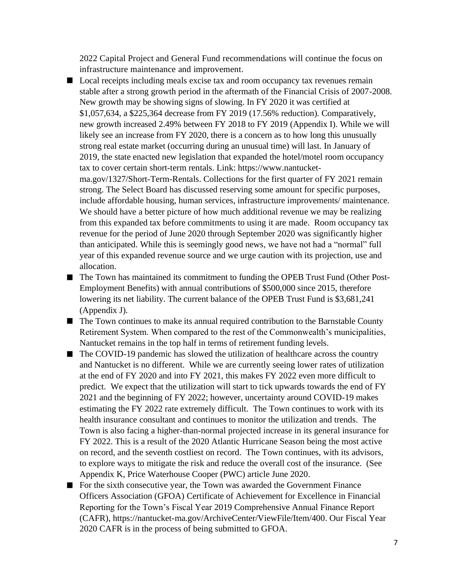2022 Capital Project and General Fund recommendations will continue the focus on infrastructure maintenance and improvement.

- Local receipts including meals excise tax and room occupancy tax revenues remain stable after a strong growth period in the aftermath of the Financial Crisis of 2007-2008. New growth may be showing signs of slowing. In FY 2020 it was certified at \$1,057,634, a \$225,364 decrease from FY 2019 (17.56% reduction). Comparatively, new growth increased 2.49% between FY 2018 to FY 2019 (Appendix I). While we will likely see an increase from FY 2020, there is a concern as to how long this unusually strong real estate market (occurring during an unusual time) will last. In January of 2019, the state enacted new legislation that expanded the hotel/motel room occupancy tax to cover certain short-term rentals. Link: https://www.nantucketma.gov/1327/Short-Term-Rentals. Collections for the first quarter of FY 2021 remain strong. The Select Board has discussed reserving some amount for specific purposes, include affordable housing, human services, infrastructure improvements/ maintenance. We should have a better picture of how much additional revenue we may be realizing from this expanded tax before commitments to using it are made. Room occupancy tax revenue for the period of June 2020 through September 2020 was significantly higher than anticipated. While this is seemingly good news, we have not had a "normal" full year of this expanded revenue source and we urge caution with its projection, use and allocation.
- The Town has maintained its commitment to funding the OPEB Trust Fund (Other Post-Employment Benefits) with annual contributions of \$500,000 since 2015, therefore lowering its net liability. The current balance of the OPEB Trust Fund is \$3,681,241 (Appendix J).
- The Town continues to make its annual required contribution to the Barnstable County Retirement System. When compared to the rest of the Commonwealth's municipalities, Nantucket remains in the top half in terms of retirement funding levels.
- The COVID-19 pandemic has slowed the utilization of healthcare across the country and Nantucket is no different. While we are currently seeing lower rates of utilization at the end of FY 2020 and into FY 2021, this makes FY 2022 even more difficult to predict. We expect that the utilization will start to tick upwards towards the end of FY 2021 and the beginning of FY 2022; however, uncertainty around COVID-19 makes estimating the FY 2022 rate extremely difficult. The Town continues to work with its health insurance consultant and continues to monitor the utilization and trends. The Town is also facing a higher-than-normal projected increase in its general insurance for FY 2022. This is a result of the 2020 Atlantic Hurricane Season being the most active on record, and the seventh costliest on record. The Town continues, with its advisors, to explore ways to mitigate the risk and reduce the overall cost of the insurance. (See Appendix K, Price Waterhouse Cooper (PWC) article June 2020.
- For the sixth consecutive year, the Town was awarded the Government Finance Officers Association (GFOA) Certificate of Achievement for Excellence in Financial Reporting for the Town's Fiscal Year 2019 Comprehensive Annual Finance Report (CAFR), https://nantucket-ma.gov/ArchiveCenter/ViewFile/Item/400. Our Fiscal Year 2020 CAFR is in the process of being submitted to GFOA.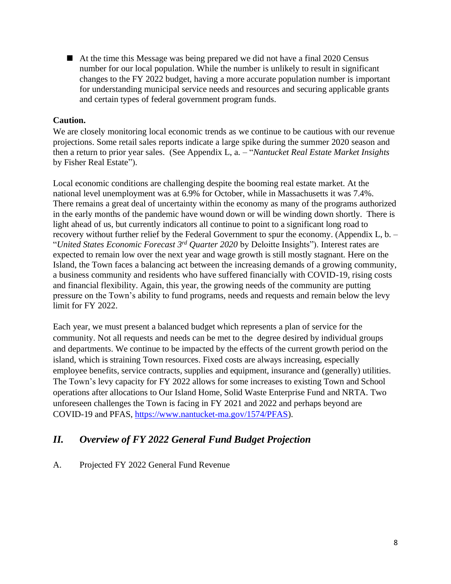■ At the time this Message was being prepared we did not have a final 2020 Census number for our local population. While the number is unlikely to result in significant changes to the FY 2022 budget, having a more accurate population number is important for understanding municipal service needs and resources and securing applicable grants and certain types of federal government program funds.

## **Caution.**

We are closely monitoring local economic trends as we continue to be cautious with our revenue projections. Some retail sales reports indicate a large spike during the summer 2020 season and then a return to prior year sales. (See Appendix L, a. – "*Nantucket Real Estate Market Insights*  by Fisher Real Estate").

Local economic conditions are challenging despite the booming real estate market. At the national level unemployment was at 6.9% for October, while in Massachusetts it was 7.4%. There remains a great deal of uncertainty within the economy as many of the programs authorized in the early months of the pandemic have wound down or will be winding down shortly. There is light ahead of us, but currently indicators all continue to point to a significant long road to recovery without further relief by the Federal Government to spur the economy. (Appendix L, b. – "*United States Economic Forecast 3 rd Quarter 2020* by Deloitte Insights"). Interest rates are expected to remain low over the next year and wage growth is still mostly stagnant. Here on the Island, the Town faces a balancing act between the increasing demands of a growing community, a business community and residents who have suffered financially with COVID-19, rising costs and financial flexibility. Again, this year, the growing needs of the community are putting pressure on the Town's ability to fund programs, needs and requests and remain below the levy limit for FY 2022.

Each year, we must present a balanced budget which represents a plan of service for the community. Not all requests and needs can be met to the degree desired by individual groups and departments. We continue to be impacted by the effects of the current growth period on the island, which is straining Town resources. Fixed costs are always increasing, especially employee benefits, service contracts, supplies and equipment, insurance and (generally) utilities. The Town's levy capacity for FY 2022 allows for some increases to existing Town and School operations after allocations to Our Island Home, Solid Waste Enterprise Fund and NRTA. Two unforeseen challenges the Town is facing in FY 2021 and 2022 and perhaps beyond are COVID-19 and PFAS, [https://www.nantucket-ma.gov/1574/PFAS\)](https://www.nantucket-ma.gov/1574/PFAS).

# *II. Overview of FY 2022 General Fund Budget Projection*

## A. Projected FY 2022 General Fund Revenue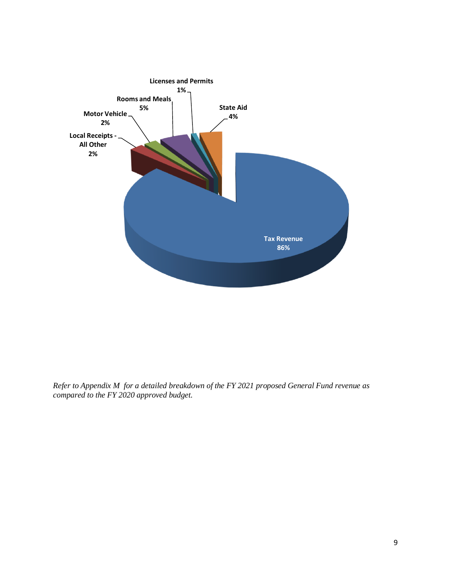

*Refer to Appendix M for a detailed breakdown of the FY 2021 proposed General Fund revenue as compared to the FY 2020 approved budget.*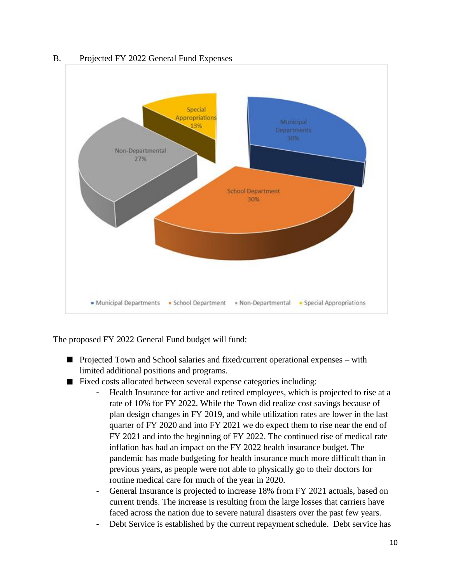

B. Projected FY 2022 General Fund Expenses

The proposed FY 2022 General Fund budget will fund:

- Projected Town and School salaries and fixed/current operational expenses with limited additional positions and programs.
- Fixed costs allocated between several expense categories including:
	- Health Insurance for active and retired employees, which is projected to rise at a rate of 10% for FY 2022. While the Town did realize cost savings because of plan design changes in FY 2019, and while utilization rates are lower in the last quarter of FY 2020 and into FY 2021 we do expect them to rise near the end of FY 2021 and into the beginning of FY 2022. The continued rise of medical rate inflation has had an impact on the FY 2022 health insurance budget. The pandemic has made budgeting for health insurance much more difficult than in previous years, as people were not able to physically go to their doctors for routine medical care for much of the year in 2020.
	- General Insurance is projected to increase 18% from FY 2021 actuals, based on current trends. The increase is resulting from the large losses that carriers have faced across the nation due to severe natural disasters over the past few years.
	- Debt Service is established by the current repayment schedule. Debt service has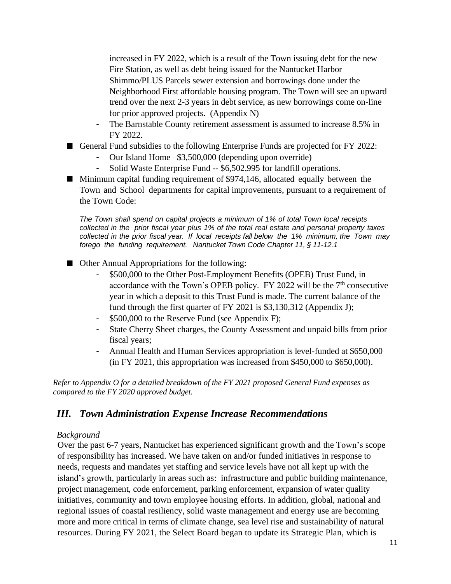increased in FY 2022, which is a result of the Town issuing debt for the new Fire Station, as well as debt being issued for the Nantucket Harbor Shimmo/PLUS Parcels sewer extension and borrowings done under the Neighborhood First affordable housing program. The Town will see an upward trend over the next 2-3 years in debt service, as new borrowings come on-line for prior approved projects. (Appendix N)

- The Barnstable County retirement assessment is assumed to increase 8.5% in FY 2022.
- General Fund subsidies to the following Enterprise Funds are projected for FY 2022:
	- Our Island Home –\$3,500,000 (depending upon override)
	- Solid Waste Enterprise Fund -- \$6,502,995 for landfill operations.
- Minimum capital funding requirement of \$974,146, allocated equally between the Town and School departments for capital improvements, pursuant to a requirement of the Town Code:

*The Town shall spend on capital projects a minimum of 1% of total Town local receipts collected in the prior fiscal year plus 1% of the total real estate and personal property taxes collected in the prior fiscal year. If local receipts fall below the 1% minimum, the Town may forego the funding requirement. Nantucket Town Code Chapter 11, § 11-12.1*

- Other Annual Appropriations for the following:
	- \$500,000 to the Other Post-Employment Benefits (OPEB) Trust Fund, in accordance with the Town's OPEB policy.  $FY$  2022 will be the  $7<sup>th</sup>$  consecutive year in which a deposit to this Trust Fund is made. The current balance of the fund through the first quarter of FY 2021 is \$3,130,312 (Appendix J);
	- \$500,000 to the Reserve Fund (see Appendix F);
	- State Cherry Sheet charges, the County Assessment and unpaid bills from prior fiscal years;
	- Annual Health and Human Services appropriation is level-funded at \$650,000 (in FY 2021, this appropriation was increased from \$450,000 to \$650,000).

*Refer to Appendix O for a detailed breakdown of the FY 2021 proposed General Fund expenses as compared to the FY 2020 approved budget.*

# *III. Town Administration Expense Increase Recommendations*

#### *Background*

Over the past 6-7 years, Nantucket has experienced significant growth and the Town's scope of responsibility has increased. We have taken on and/or funded initiatives in response to needs, requests and mandates yet staffing and service levels have not all kept up with the island's growth, particularly in areas such as: infrastructure and public building maintenance, project management, code enforcement, parking enforcement, expansion of water quality initiatives, community and town employee housing efforts. In addition, global, national and regional issues of coastal resiliency, solid waste management and energy use are becoming more and more critical in terms of climate change, sea level rise and sustainability of natural resources. During FY 2021, the Select Board began to update its Strategic Plan, which is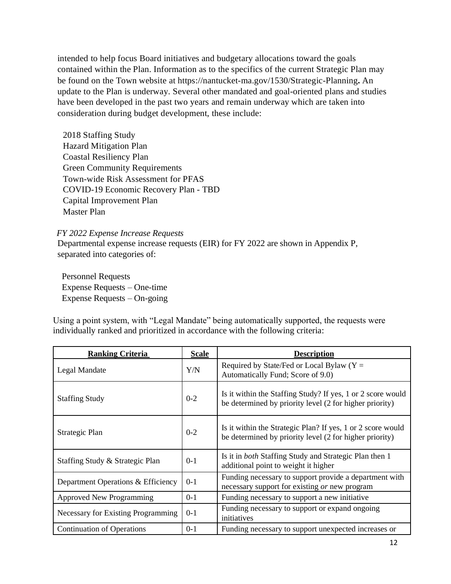intended to help focus Board initiatives and budgetary allocations toward the goals contained within the Plan. Information as to the specifics of the current Strategic Plan may be found on the Town website at https://nantucket-ma.gov/1530/Strategic-Planning**.** An update to the Plan is underway. Several other mandated and goal-oriented plans and studies have been developed in the past two years and remain underway which are taken into consideration during budget development, these include:

2018 Staffing Study Hazard Mitigation Plan Coastal Resiliency Plan Green Community Requirements Town-wide Risk Assessment for PFAS COVID-19 Economic Recovery Plan - TBD Capital Improvement Plan Master Plan

*FY 2022 Expense Increase Requests*

Departmental expense increase requests (EIR) for FY 2022 are shown in Appendix P, separated into categories of:

 Personnel Requests Expense Requests – One-time Expense Requests – On-going

Using a point system, with "Legal Mandate" being automatically supported, the requests were individually ranked and prioritized in accordance with the following criteria:

| <b>Ranking Criteria</b>            | <b>Scale</b> | <b>Description</b>                                                                                                     |
|------------------------------------|--------------|------------------------------------------------------------------------------------------------------------------------|
| Legal Mandate                      | Y/N          | Required by State/Fed or Local Bylaw ( $Y =$<br>Automatically Fund; Score of 9.0)                                      |
| <b>Staffing Study</b>              | $0 - 2$      | Is it within the Staffing Study? If yes, 1 or 2 score would<br>be determined by priority level (2 for higher priority) |
| Strategic Plan                     | $0 - 2$      | Is it within the Strategic Plan? If yes, 1 or 2 score would<br>be determined by priority level (2 for higher priority) |
| Staffing Study & Strategic Plan    | $0 - 1$      | Is it in <i>both</i> Staffing Study and Strategic Plan then 1<br>additional point to weight it higher                  |
| Department Operations & Efficiency | $0 - 1$      | Funding necessary to support provide a department with<br>necessary support for existing or new program                |
| <b>Approved New Programming</b>    | $0 - 1$      | Funding necessary to support a new initiative                                                                          |
| Necessary for Existing Programming | $0-1$        | Funding necessary to support or expand ongoing<br>initiatives                                                          |
| <b>Continuation of Operations</b>  | $0-1$        | Funding necessary to support unexpected increases or                                                                   |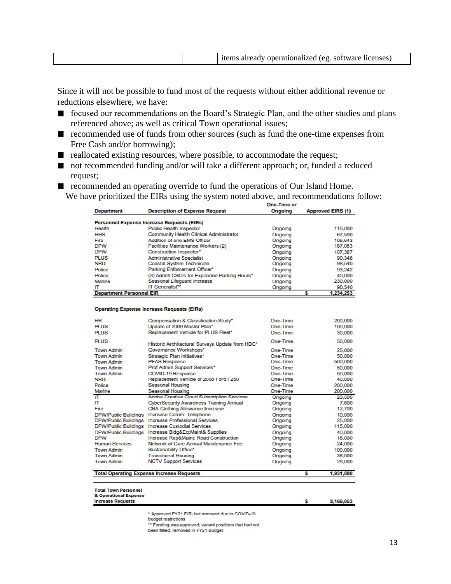Since it will not be possible to fund most of the requests without either additional revenue or reductions elsewhere, we have:

- focused our recommendations on the Board's Strategic Plan, and the other studies and plans referenced above; as well as critical Town operational issues;
- recommended use of funds from other sources (such as fund the one-time expenses from Free Cash and/or borrowing);
- $\blacksquare$  reallocated existing resources, where possible, to accommodate the request;
- not recommended funding and/or will take a different approach; or, funded a reduced request;
- recommended an operating override to fund the operations of Our Island Home. We have prioritized the EIRs using the system noted above, and recommendations follow:<br> **One-Time or**

| <b>Department</b>               | <b>Description of Expense Request</b>             | Ongoing        | <b>Approved EIRS (1)</b> |  |  |
|---------------------------------|---------------------------------------------------|----------------|--------------------------|--|--|
|                                 | <b>Personnel Expense Increase Requests (EIRs)</b> |                |                          |  |  |
| Health                          | Public Health Inspector                           | Ongoing        | 115,000                  |  |  |
| <b>HHS</b>                      | Community Health Clinical Administrator           | Ongoing        | 67,500                   |  |  |
| Fire                            | Addition of one EMS Officer                       | Ongoing        | 106,643                  |  |  |
| <b>DPW</b>                      | Facilities Maintenance Workers (2)                | Ongoing        | 187,053                  |  |  |
| <b>DPW</b>                      | Construction Inspector*                           | Ongoing        | 107,387                  |  |  |
| <b>PLUS</b>                     | Administrative Specialist                         | Ongoing        | 90,348                   |  |  |
| <b>NRD</b>                      | Coastal System Technician                         | Ongoing        | 98,540                   |  |  |
| Police                          | Parking Enforcement Officer*                      | Ongoing        | 93.242                   |  |  |
| Police                          | (3) Addntl CSO's for Expanded Parking Hours*      | Ongoing        | 40,000                   |  |  |
| Marine                          | Seasonal Lifequard Increase                       | Ongoing        | 230,000                  |  |  |
| ΙТ                              | IT Generalist**                                   | <b>Ongoing</b> | 98,540                   |  |  |
| <b>Department Personnel EIR</b> |                                                   |                | 1.234.253                |  |  |

#### **Operating Expense Increase Requests (EIRs)**

|                             | <b>Total Operating Expense Increase Requests</b> | s        | 1,931,800 |
|-----------------------------|--------------------------------------------------|----------|-----------|
| Town Admin                  | <b>NCTV Support Services</b>                     | Ongoing  | 25,000    |
| Town Admin                  | <b>Transitional Housing</b>                      | Ongoing  | 36,000    |
| Town Admin                  | Sustainability Office*                           | Ongoing  | 100,000   |
| <b>Human Services</b>       | Network of Care Annual Maintenance Fee           | Ongoing  | 24,000    |
| <b>DPW</b>                  | Increase Rep&Maint: Road Construction            | Ongoing  | 18,000    |
| <b>DPW/Public Buildings</b> | Increase Bldg&Eq:Maint& Supplies                 | Ongoing  | 40,000    |
| <b>DPW/Public Buildings</b> | <b>Increase Custodial Services</b>               | Ongoing  | 115,000   |
| <b>DPW/Public Buildings</b> | Increase Professional Services                   | Ongoing  | 25,000    |
| <b>DPW/Public Buildings</b> | Increase Comm: Telephone                         | Ongoing  | 10,000    |
| Fire                        | <b>CBA Clothing Allowance Increase</b>           | Ongoing  | 12,700    |
| IΤ                          | <b>CyberSecurity Awareness Training Annual</b>   | Ongoing  | 7,600     |
| $\mathsf{I}$                | Adobe Creative Cloud Subscription Services       | Ongoing  | 23,500    |
| Marine                      | Seasonal Housing                                 | One-Time | 200,000   |
| Police                      | Seasonal Housing                                 | One-Time | 200,000   |
| <b>NRD</b>                  | Replacement Vehicle of 2008 Ford F250            | One-Time | 40,000    |
| Town Admin                  | <b>COVID-19 Response</b>                         | One-Time | 50,000    |
| Town Admin                  | Prof Admin Support Services*                     | One-Time | 50.000    |
| Town Admin                  | <b>PFAS Response</b>                             | One-Time | 500,000   |
| Town Admin                  | Strategic Plan Initiatives*                      | One-Time | 50,000    |
| Town Admin                  | Governance Workshops*                            | One-Time | 25,000    |
| <b>PLUS</b>                 | Historic Architectural Surveys Update from HDC*  | One-Time | 50,000    |
| <b>PLUS</b>                 | Replacement Vehicle for PLUS Fleet*              | One-Time | 30,000    |
| <b>PLUS</b>                 | Update of 2009 Master Plan*                      | One-Time | 100,000   |
| <b>HR</b>                   | Compensation & Classification Study*             | One-Time | 200,000   |

**Total Town Personnel** 

& Operational Expense **Increase Requests** 

#### 3,166,053

s

\* Approved FY21 EIR; but removed due to COVID-19

budget restrictions<br>budget restrictions<br>head approved; vacant positions that had not<br>head filled: removed in EV21 Budget been fillled; removed in FY21 Budget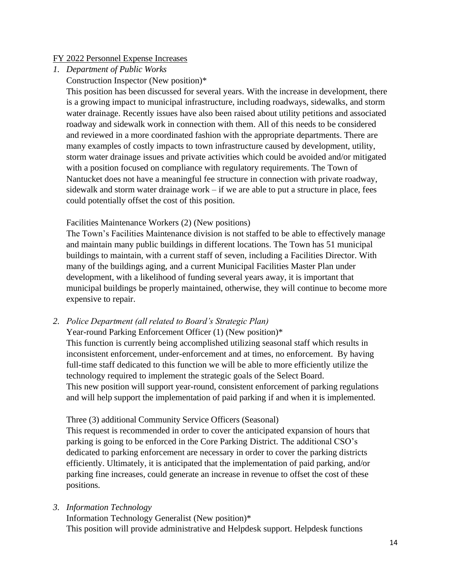#### FY 2022 Personnel Expense Increases

*1. Department of Public Works*

Construction Inspector (New position)\*

This position has been discussed for several years. With the increase in development, there is a growing impact to municipal infrastructure, including roadways, sidewalks, and storm water drainage. Recently issues have also been raised about utility petitions and associated roadway and sidewalk work in connection with them. All of this needs to be considered and reviewed in a more coordinated fashion with the appropriate departments. There are many examples of costly impacts to town infrastructure caused by development, utility, storm water drainage issues and private activities which could be avoided and/or mitigated with a position focused on compliance with regulatory requirements. The Town of Nantucket does not have a meaningful fee structure in connection with private roadway, sidewalk and storm water drainage work – if we are able to put a structure in place, fees could potentially offset the cost of this position.

#### Facilities Maintenance Workers (2) (New positions)

The Town's Facilities Maintenance division is not staffed to be able to effectively manage and maintain many public buildings in different locations. The Town has 51 municipal buildings to maintain, with a current staff of seven, including a Facilities Director. With many of the buildings aging, and a current Municipal Facilities Master Plan under development, with a likelihood of funding several years away, it is important that municipal buildings be properly maintained, otherwise, they will continue to become more expensive to repair.

*2. Police Department (all related to Board's Strategic Plan)*

Year-round Parking Enforcement Officer (1) (New position)\* This function is currently being accomplished utilizing seasonal staff which results in inconsistent enforcement, under-enforcement and at times, no enforcement. By having full-time staff dedicated to this function we will be able to more efficiently utilize the technology required to implement the strategic goals of the Select Board. This new position will support year-round, consistent enforcement of parking regulations and will help support the implementation of paid parking if and when it is implemented.

## Three (3) additional Community Service Officers (Seasonal)

This request is recommended in order to cover the anticipated expansion of hours that parking is going to be enforced in the Core Parking District. The additional CSO's dedicated to parking enforcement are necessary in order to cover the parking districts efficiently. Ultimately, it is anticipated that the implementation of paid parking, and/or parking fine increases, could generate an increase in revenue to offset the cost of these positions.

*3. Information Technology*

Information Technology Generalist (New position)\* This position will provide administrative and Helpdesk support. Helpdesk functions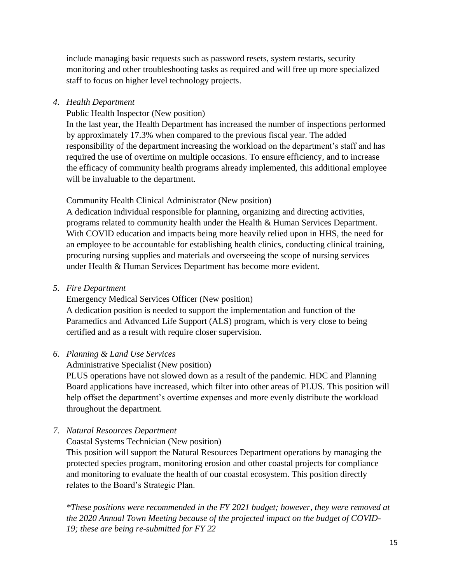include managing basic requests such as password resets, system restarts, security monitoring and other troubleshooting tasks as required and will free up more specialized staff to focus on higher level technology projects.

#### *4. Health Department*

Public Health Inspector (New position)

In the last year, the Health Department has increased the number of inspections performed by approximately 17.3% when compared to the previous fiscal year. The added responsibility of the department increasing the workload on the department's staff and has required the use of overtime on multiple occasions. To ensure efficiency, and to increase the efficacy of community health programs already implemented, this additional employee will be invaluable to the department.

## Community Health Clinical Administrator (New position)

A dedication individual responsible for planning, organizing and directing activities, programs related to community health under the Health & Human Services Department. With COVID education and impacts being more heavily relied upon in HHS, the need for an employee to be accountable for establishing health clinics, conducting clinical training, procuring nursing supplies and materials and overseeing the scope of nursing services under Health & Human Services Department has become more evident.

#### *5. Fire Department*

Emergency Medical Services Officer (New position)

A dedication position is needed to support the implementation and function of the Paramedics and Advanced Life Support (ALS) program, which is very close to being certified and as a result with require closer supervision.

## *6. Planning & Land Use Services*

#### Administrative Specialist (New position)

PLUS operations have not slowed down as a result of the pandemic. HDC and Planning Board applications have increased, which filter into other areas of PLUS. This position will help offset the department's overtime expenses and more evenly distribute the workload throughout the department.

## *7. Natural Resources Department*

## Coastal Systems Technician (New position)

This position will support the Natural Resources Department operations by managing the protected species program, monitoring erosion and other coastal projects for compliance and monitoring to evaluate the health of our coastal ecosystem. This position directly relates to the Board's Strategic Plan.

*\*These positions were recommended in the FY 2021 budget; however, they were removed at the 2020 Annual Town Meeting because of the projected impact on the budget of COVID-19; these are being re-submitted for FY 22*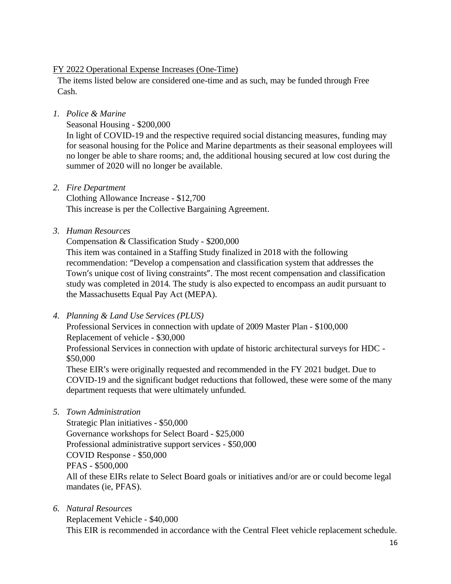#### FY 2022 Operational Expense Increases (One-Time)

The items listed below are considered one-time and as such, may be funded through Free Cash.

*1. Police & Marine*

Seasonal Housing - \$200,000

In light of COVID-19 and the respective required social distancing measures, funding may for seasonal housing for the Police and Marine departments as their seasonal employees will no longer be able to share rooms; and, the additional housing secured at low cost during the summer of 2020 will no longer be available.

*2. Fire Department*

Clothing Allowance Increase - \$12,700 This increase is per the Collective Bargaining Agreement.

*3. Human Resources*

Compensation & Classification Study - \$200,000 This item was contained in a Staffing Study finalized in 2018 with the following recommendation: "Develop a compensation and classification system that addresses the Town's unique cost of living constraints". The most recent compensation and classification study was completed in 2014. The study is also expected to encompass an audit pursuant to the Massachusetts Equal Pay Act (MEPA).

*4. Planning & Land Use Services (PLUS)*

Professional Services in connection with update of 2009 Master Plan - \$100,000 Replacement of vehicle - \$30,000 Professional Services in connection with update of historic architectural surveys for HDC -

\$50,000 These EIR's were originally requested and recommended in the FY 2021 budget. Due to COVID-19 and the significant budget reductions that followed, these were some of the many department requests that were ultimately unfunded.

*5. Town Administration*

Strategic Plan initiatives - \$50,000 Governance workshops for Select Board - \$25,000 Professional administrative support services - \$50,000 COVID Response - \$50,000 PFAS - \$500,000 All of these EIRs relate to Select Board goals or initiatives and/or are or could become legal mandates (ie, PFAS).

*6. Natural Resources* Replacement Vehicle - \$40,000 This EIR is recommended in accordance with the Central Fleet vehicle replacement schedule.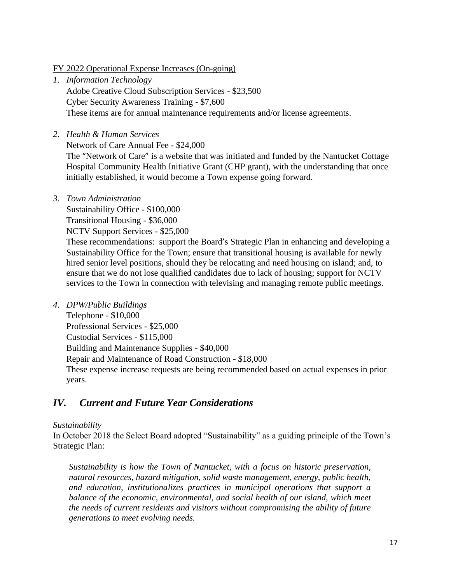#### FY 2022 Operational Expense Increases (On-going)

- *1. Information Technology* Adobe Creative Cloud Subscription Services - \$23,500 Cyber Security Awareness Training - \$7,600 These items are for annual maintenance requirements and/or license agreements.
- *2. Health & Human Services*

Network of Care Annual Fee - \$24,000

The "Network of Care" is a website that was initiated and funded by the Nantucket Cottage Hospital Community Health Initiative Grant (CHP grant), with the understanding that once initially established, it would become a Town expense going forward.

*3. Town Administration*

Sustainability Office - \$100,000

Transitional Housing - \$36,000

NCTV Support Services - \$25,000

These recommendations: support the Board's Strategic Plan in enhancing and developing a Sustainability Office for the Town; ensure that transitional housing is available for newly hired senior level positions, should they be relocating and need housing on island; and, to ensure that we do not lose qualified candidates due to lack of housing; support for NCTV services to the Town in connection with televising and managing remote public meetings.

*4. DPW/Public Buildings*

Telephone - \$10,000 Professional Services - \$25,000 Custodial Services - \$115,000 Building and Maintenance Supplies - \$40,000 Repair and Maintenance of Road Construction - \$18,000 These expense increase requests are being recommended based on actual expenses in prior years.

# *IV. Current and Future Year Considerations*

## *Sustainability*

In October 2018 the Select Board adopted "Sustainability" as a guiding principle of the Town's Strategic Plan:

*Sustainability is how the Town of Nantucket, with a focus on historic preservation, natural resources, hazard mitigation, solid waste management, energy, public health, and education, institutionalizes practices in municipal operations that support a balance of the economic, environmental, and social health of our island, which meet the needs of current residents and visitors without compromising the ability of future generations to meet evolving needs.*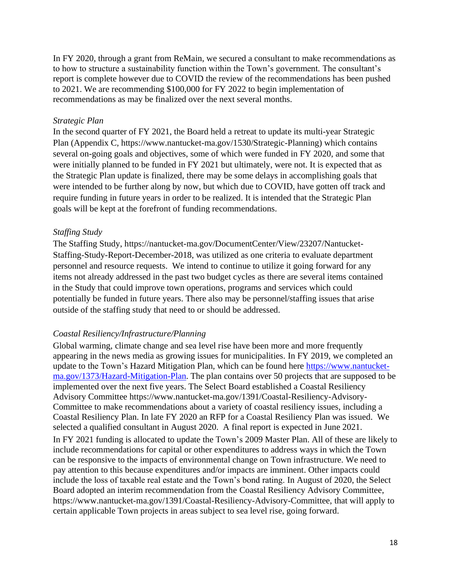In FY 2020, through a grant from ReMain, we secured a consultant to make recommendations as to how to structure a sustainability function within the Town's government. The consultant's report is complete however due to COVID the review of the recommendations has been pushed to 2021. We are recommending \$100,000 for FY 2022 to begin implementation of recommendations as may be finalized over the next several months.

#### *Strategic Plan*

In the second quarter of FY 2021, the Board held a retreat to update its multi-year Strategic Plan (Appendix C, https://www.nantucket-ma.gov/1530/Strategic-Planning) which contains several on-going goals and objectives, some of which were funded in FY 2020, and some that were initially planned to be funded in FY 2021 but ultimately, were not. It is expected that as the Strategic Plan update is finalized, there may be some delays in accomplishing goals that were intended to be further along by now, but which due to COVID, have gotten off track and require funding in future years in order to be realized. It is intended that the Strategic Plan goals will be kept at the forefront of funding recommendations.

#### *Staffing Study*

The Staffing Study, https://nantucket-ma.gov/DocumentCenter/View/23207/Nantucket-Staffing-Study-Report-December-2018, was utilized as one criteria to evaluate department personnel and resource requests. We intend to continue to utilize it going forward for any items not already addressed in the past two budget cycles as there are several items contained in the Study that could improve town operations, programs and services which could potentially be funded in future years. There also may be personnel/staffing issues that arise outside of the staffing study that need to or should be addressed.

#### *Coastal Resiliency/Infrastructure/Planning*

Global warming, climate change and sea level rise have been more and more frequently appearing in the news media as growing issues for municipalities. In FY 2019, we completed an update to the Town's Hazard Mitigation Plan, which can be found here [https://www.nantucket](https://www.nantucket-ma.gov/1373/Hazard-Mitigation-Plan)[ma.gov/1373/Hazard-Mitigation-Plan.](https://www.nantucket-ma.gov/1373/Hazard-Mitigation-Plan) The plan contains over 50 projects that are supposed to be implemented over the next five years. The Select Board established a Coastal Resiliency Advisory Committee https://www.nantucket-ma.gov/1391/Coastal-Resiliency-Advisory-Committee to make recommendations about a variety of coastal resiliency issues, including a Coastal Resiliency Plan. In late FY 2020 an RFP for a Coastal Resiliency Plan was issued. We selected a qualified consultant in August 2020. A final report is expected in June 2021. In FY 2021 funding is allocated to update the Town's 2009 Master Plan. All of these are likely to include recommendations for capital or other expenditures to address ways in which the Town can be responsive to the impacts of environmental change on Town infrastructure. We need to pay attention to this because expenditures and/or impacts are imminent. Other impacts could include the loss of taxable real estate and the Town's bond rating. In August of 2020, the Select Board adopted an interim recommendation from the Coastal Resiliency Advisory Committee, https://www.nantucket-ma.gov/1391/Coastal-Resiliency-Advisory-Committee, that will apply to certain applicable Town projects in areas subject to sea level rise, going forward.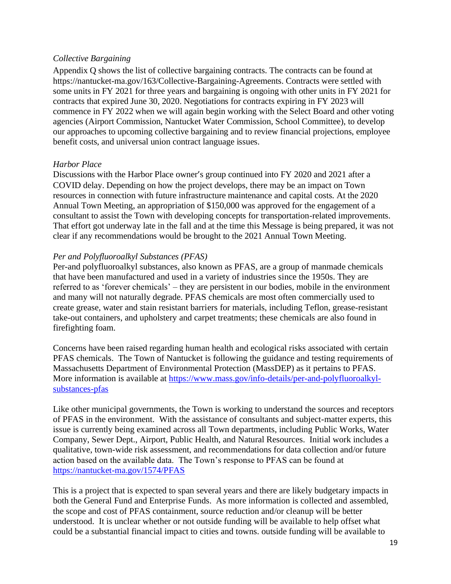#### *Collective Bargaining*

Appendix Q shows the list of collective bargaining contracts. The contracts can be found at [https://nantucket-ma.gov/163/Collective-Bargaining-Agreements.](https://nantucket-ma.gov/163/Collective-Bargaining-Agreements) Contracts were settled with some units in FY 2021 for three years and bargaining is ongoing with other units in FY 2021 for contracts that expired June 30, 2020. Negotiations for contracts expiring in FY 2023 will commence in FY 2022 when we will again begin working with the Select Board and other voting agencies (Airport Commission, Nantucket Water Commission, School Committee), to develop our approaches to upcoming collective bargaining and to review financial projections, employee benefit costs, and universal union contract language issues.

#### *Harbor Place*

Discussions with the Harbor Place owner's group continued into FY 2020 and 2021 after a COVID delay. Depending on how the project develops, there may be an impact on Town resources in connection with future infrastructure maintenance and capital costs. At the 2020 Annual Town Meeting, an appropriation of \$150,000 was approved for the engagement of a consultant to assist the Town with developing concepts for transportation-related improvements. That effort got underway late in the fall and at the time this Message is being prepared, it was not clear if any recommendations would be brought to the 2021 Annual Town Meeting.

#### *Per and Polyfluoroalkyl Substances (PFAS)*

Per-and polyfluoroalkyl substances, also known as PFAS, are a group of manmade chemicals that have been manufactured and used in a variety of industries since the 1950s. They are referred to as 'forever chemicals' – they are persistent in our bodies, mobile in the environment and many will not naturally degrade. PFAS chemicals are most often commercially used to create grease, water and stain resistant barriers for materials, including Teflon, grease-resistant take-out containers, and upholstery and carpet treatments; these chemicals are also found in firefighting foam.

Concerns have been raised regarding human health and ecological risks associated with certain PFAS chemicals. The Town of Nantucket is following the guidance and testing requirements of Massachusetts Department of Environmental Protection (MassDEP) as it pertains to PFAS. More information is available at [https://www.mass.gov/info-details/per-and-polyfluoroalkyl](https://www.mass.gov/info-details/per-and-polyfluoroalkyl-substances-pfas)[substances-pfas](https://www.mass.gov/info-details/per-and-polyfluoroalkyl-substances-pfas) 

Like other municipal governments, the Town is working to understand the sources and receptors of PFAS in the environment. With the assistance of consultants and subject-matter experts, this issue is currently being examined across all Town departments, including Public Works, Water Company, Sewer Dept., Airport, Public Health, and Natural Resources. Initial work includes a qualitative, town-wide risk assessment, and recommendations for data collection and/or future action based on the available data. The Town's response to PFAS can be found at <https://nantucket-ma.gov/1574/PFAS>

This is a project that is expected to span several years and there are likely budgetary impacts in both the General Fund and Enterprise Funds. As more information is collected and assembled, the scope and cost of PFAS containment, source reduction and/or cleanup will be better understood. It is unclear whether or not outside funding will be available to help offset what could be a substantial financial impact to cities and towns. outside funding will be available to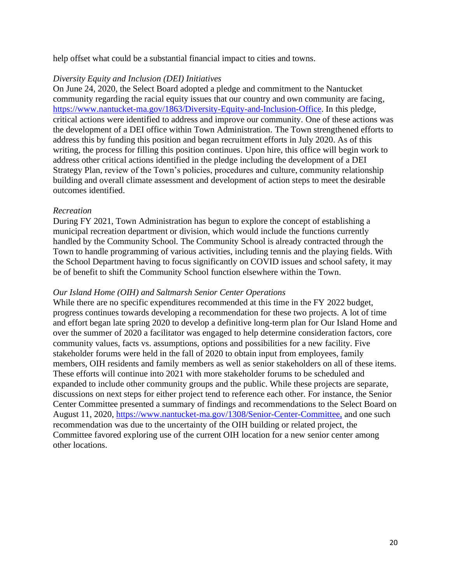help offset what could be a substantial financial impact to cities and towns.

#### *Diversity Equity and Inclusion (DEI) Initiatives*

On June 24, 2020, the Select Board adopted a pledge and commitment to the Nantucket community regarding the racial equity issues that our country and own community are facing, [https://www.nantucket-ma.gov/1863/Diversity-Equity-and-Inclusion-Office.](https://www.nantucket-ma.gov/1863/Diversity-Equity-and-Inclusion-Office) In this pledge, critical actions were identified to address and improve our community. One of these actions was the development of a DEI office within Town Administration. The Town strengthened efforts to address this by funding this position and began recruitment efforts in July 2020. As of this writing, the process for filling this position continues. Upon hire, this office will begin work to address other critical actions identified in the pledge including the development of a DEI Strategy Plan, review of the Town's policies, procedures and culture, community relationship building and overall climate assessment and development of action steps to meet the desirable outcomes identified.

#### *Recreation*

During FY 2021, Town Administration has begun to explore the concept of establishing a municipal recreation department or division, which would include the functions currently handled by the Community School. The Community School is already contracted through the Town to handle programming of various activities, including tennis and the playing fields. With the School Department having to focus significantly on COVID issues and school safety, it may be of benefit to shift the Community School function elsewhere within the Town.

#### *Our Island Home (OIH) and Saltmarsh Senior Center Operations*

While there are no specific expenditures recommended at this time in the FY 2022 budget, progress continues towards developing a recommendation for these two projects. A lot of time and effort began late spring 2020 to develop a definitive long-term plan for Our Island Home and over the summer of 2020 a facilitator was engaged to help determine consideration factors, core community values, facts vs. assumptions, options and possibilities for a new facility. Five stakeholder forums were held in the fall of 2020 to obtain input from employees, family members, OIH residents and family members as well as senior stakeholders on all of these items. These efforts will continue into 2021 with more stakeholder forums to be scheduled and expanded to include other community groups and the public. While these projects are separate, discussions on next steps for either project tend to reference each other. For instance, the Senior Center Committee presented a summary of findings and recommendations to the Select Board on August 11, 2020, [https://www.nantucket-ma.gov/1308/Senior-Center-Committee,](https://www.nantucket-ma.gov/1308/Senior-Center-Committee) and one such recommendation was due to the uncertainty of the OIH building or related project, the Committee favored exploring use of the current OIH location for a new senior center among other locations.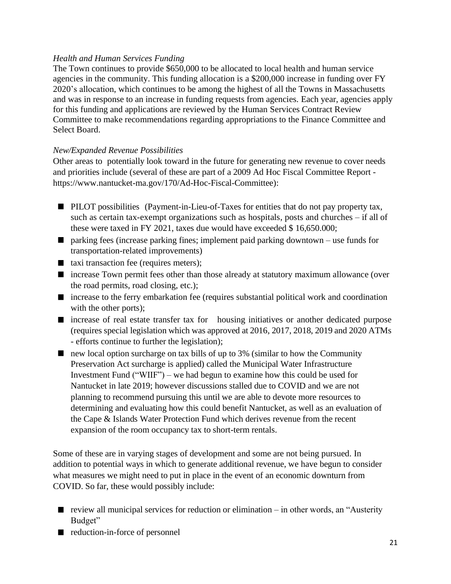## *Health and Human Services Funding*

The Town continues to provide \$650,000 to be allocated to local health and human service agencies in the community. This funding allocation is a \$200,000 increase in funding over FY 2020's allocation, which continues to be among the highest of all the Towns in Massachusetts and was in response to an increase in funding requests from agencies. Each year, agencies apply for this funding and applications are reviewed by the Human Services Contract Review Committee to make recommendations regarding appropriations to the Finance Committee and Select Board.

#### *New/Expanded Revenue Possibilities*

Other areas to potentially look toward in the future for generating new revenue to cover needs and priorities include (several of these are part of a 2009 Ad Hoc Fiscal Committee Report https://www.nantucket-ma.gov/170/Ad-Hoc-Fiscal-Committee):

- **PILOT** possibilities (Payment-in-Lieu-of-Taxes for entities that do not pay property tax, such as certain tax-exempt organizations such as hospitals, posts and churches – if all of these were taxed in FY 2021, taxes due would have exceeded \$ 16,650.000;
- $\Box$  parking fees (increase parking fines; implement paid parking downtown use funds for transportation-related improvements)
- taxi transaction fee (requires meters);
- increase Town permit fees other than those already at statutory maximum allowance (over the road permits, road closing, etc.);
- increase to the ferry embarkation fee (requires substantial political work and coordination with the other ports);
- increase of real estate transfer tax for housing initiatives or another dedicated purpose (requires special legislation which was approved at 2016, 2017, 2018, 2019 and 2020 ATMs - efforts continue to further the legislation);
- $\blacksquare$  new local option surcharge on tax bills of up to 3% (similar to how the Community Preservation Act surcharge is applied) called the Municipal Water Infrastructure Investment Fund ("WIIF") – we had begun to examine how this could be used for Nantucket in late 2019; however discussions stalled due to COVID and we are not planning to recommend pursuing this until we are able to devote more resources to determining and evaluating how this could benefit Nantucket, as well as an evaluation of the Cape & Islands Water Protection Fund which derives revenue from the recent expansion of the room occupancy tax to short-term rentals.

Some of these are in varying stages of development and some are not being pursued. In addition to potential ways in which to generate additional revenue, we have begun to consider what measures we might need to put in place in the event of an economic downturn from COVID. So far, these would possibly include:

- review all municipal services for reduction or elimination  $-$  in other words, an "Austerity" Budget"
- reduction-in-force of personnel